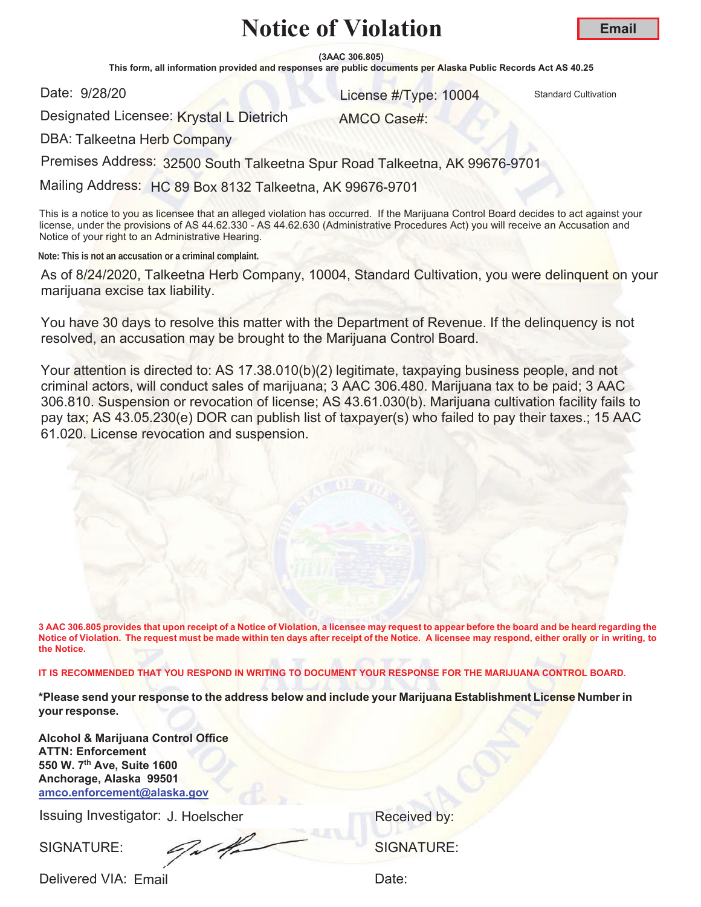**(3AAC 306.805)**

This form, all information provided and responses are public documents per Alaska Public Records Act AS 40.25

Date: 9/28/20

and 28/20 **10004** Standard Cultivation Cultivation Cultivation Cultivation Cultivation

Designated Licensee: Krystal L Dietrich

AMCO Case#:

DBA: Talkeetna Herb Company

Premises Address: 32500 South Talkeetna Spur Road Talkeetna, AK 99676-9701

Mailing Address: HC 89 Box 8132 Talkeetna, AK 99676-9701

This is a notice to you as licensee that an alleged violation has occurred. If the Marijuana Control Board decides to act against your license, under the provisions of AS 44.62.330 - AS 44.62.630 (Administrative Procedures Act) you will receive an Accusation and Notice of your right to an Administrative Hearing.

**Note: This is not an accusation or a criminal complaint.**

As of 8/24/2020, Talkeetna Herb Company, 10004, Standard Cultivation, you were delinquent on your marijuana excise tax liability.

You have 30 days to resolve this matter with the Department of Revenue. If the delinquency is not resolved, an accusation may be brought to the Marijuana Control Board.

Your attention is directed to: AS 17.38.010(b)(2) legitimate, taxpaying business people, and not criminal actors, will conduct sales of marijuana; 3 AAC 306.480. Marijuana tax to be paid; 3 AAC 306.810. Suspension or revocation of license; AS 43.61.030(b). Marijuana cultivation facility fails to pay tax; AS 43.05.230(e) DOR can publish list of taxpayer(s) who failed to pay their taxes.; 15 AAC 61.020. License revocation and suspension.

**3 AAC 306.805 provides that upon receipt of a Notice of Violation, a licensee may request to appear before the board and be heard regarding the Notice of Violation. The request must be made within ten days after receipt of the Notice. A licensee may respond, either orally or in writing, to the Notice.** 

**IT IS RECOMMENDED THAT YOU RESPOND IN WRITING TO DOCUMENT YOUR RESPONSE FOR THE MARIJUANA CONTROL BOARD.**

**\*Please send your response to the address below and include your Marijuana Establishment License Number in yourresponse.**

**Alcohol & Marijuana Control Office ATTN: Enforcement 550 W. 7th Ave, Suite 1600 Anchorage, Alaska 99501 amco.enforcement@alaska.gov**

Issuing Investigator: J. Hoelscher **Election Control Control Control Control Control Control Control Control Control Control Control Control Control Control Control Control Control Control Control Control Control Control C** 

SIGNATURE: SIGNATURE: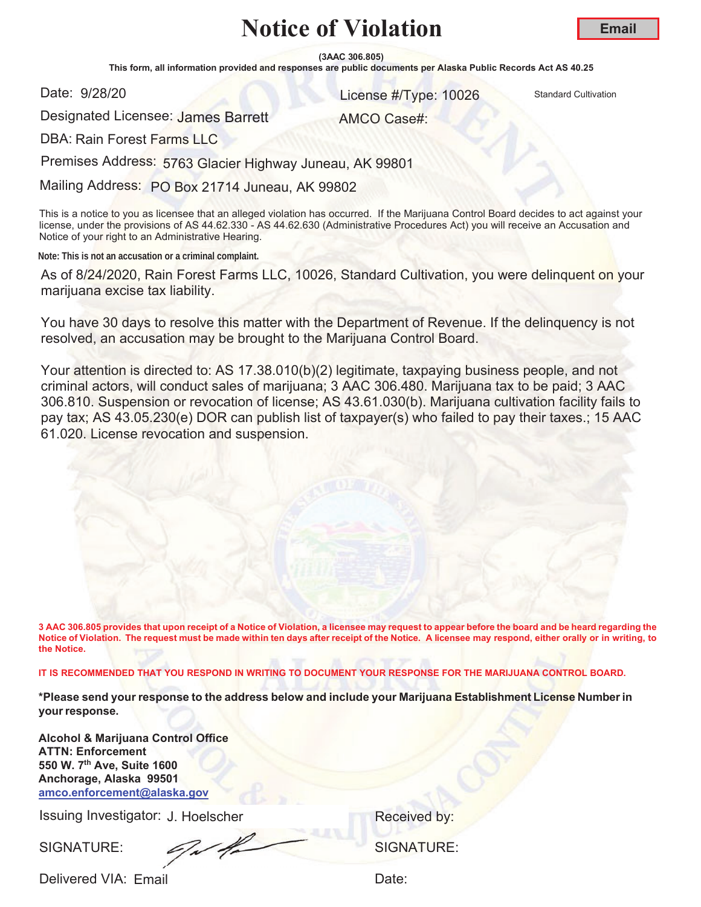**(3AAC 306.805)**

This form, all information provided and responses are public documents per Alaska Public Records Act AS 40.25

Date: 9/28/20

er and the United Standard Cultivation Control of the United Standard Cultivation Cultivation

AMCO Case#:

**Email**

Designated Licensee: James Barrett

DBA: Rain Forest Farms LLC

Premises Address: 5763 Glacier Highway Juneau, AK 99801

Mailing Address: PO Box 21714 Juneau, AK 99802

This is a notice to you as licensee that an alleged violation has occurred. If the Marijuana Control Board decides to act against your license, under the provisions of AS 44.62.330 - AS 44.62.630 (Administrative Procedures Act) you will receive an Accusation and Notice of your right to an Administrative Hearing.

**Note: This is not an accusation or a criminal complaint.**

As of 8/24/2020, Rain Forest Farms LLC, 10026, Standard Cultivation, you were delinquent on your marijuana excise tax liability.

You have 30 days to resolve this matter with the Department of Revenue. If the delinquency is not resolved, an accusation may be brought to the Marijuana Control Board.

Your attention is directed to: AS 17.38.010(b)(2) legitimate, taxpaying business people, and not criminal actors, will conduct sales of marijuana; 3 AAC 306.480. Marijuana tax to be paid; 3 AAC 306.810. Suspension or revocation of license; AS 43.61.030(b). Marijuana cultivation facility fails to pay tax; AS 43.05.230(e) DOR can publish list of taxpayer(s) who failed to pay their taxes.; 15 AAC 61.020. License revocation and suspension.

**3 AAC 306.805 provides that upon receipt of a Notice of Violation, a licensee may request to appear before the board and be heard regarding the Notice of Violation. The request must be made within ten days after receipt of the Notice. A licensee may respond, either orally or in writing, to the Notice.** 

**IT IS RECOMMENDED THAT YOU RESPOND IN WRITING TO DOCUMENT YOUR RESPONSE FOR THE MARIJUANA CONTROL BOARD.**

**\*Please send your response to the address below and include your Marijuana Establishment License Number in yourresponse.**

**Alcohol & Marijuana Control Office ATTN: Enforcement 550 W. 7th Ave, Suite 1600 Anchorage, Alaska 99501 amco.enforcement@alaska.gov**

Issuing Investigator: J. Hoelscher **Election Control Control Control Control Control Control Control Control Control Control Control Control Control Control Control Control Control Control Control Control Control Control C** 

SIGNATURE: SIGNATURE: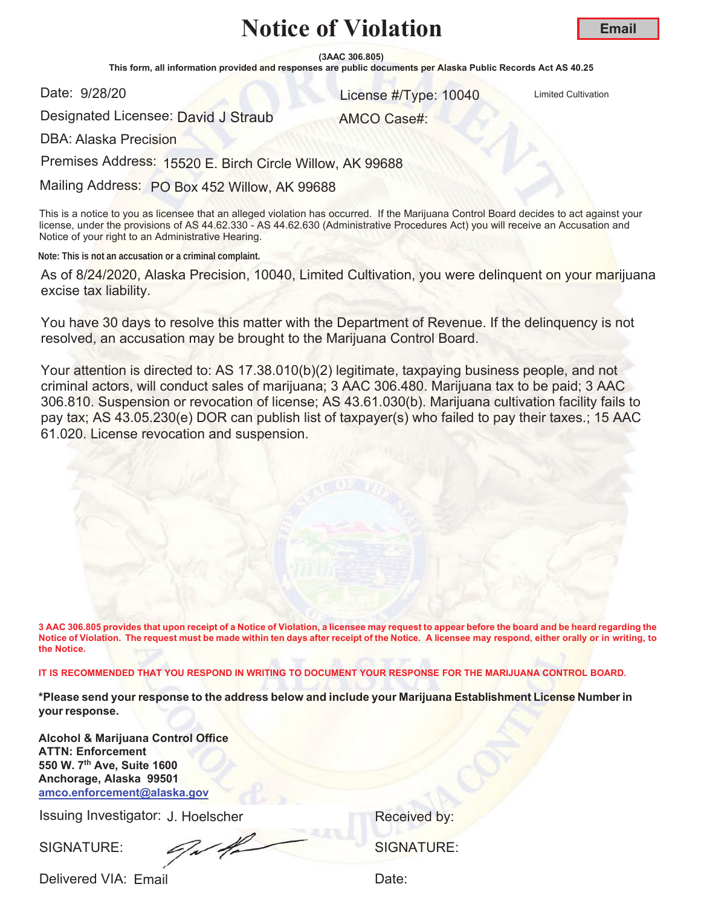**(3AAC 306.805)**

This form, all information provided and responses are public documents per Alaska Public Records Act AS 40.25

Date: 9/28/20

er and the United Cultivation Control of the United Cultivation Control of the United Cultivation

AMCO Case#:

Designated Licensee: <mark>David J Straub</mark>

DBA: Alaska Precision

Premises Address: 15520 E. Birch Circle Willow, AK 99688

Mailing Address: PO Box 452 Willow, AK 99688

This is a notice to you as licensee that an alleged violation has occurred. If the Marijuana Control Board decides to act against your license, under the provisions of AS 44.62.330 - AS 44.62.630 (Administrative Procedures Act) you will receive an Accusation and Notice of your right to an Administrative Hearing.

**Note: This is not an accusation or a criminal complaint.**

As of 8/24/2020, Alaska Precision, 10040, Limited Cultivation, you were delinquent on your marijuana excise tax liability.

You have 30 days to resolve this matter with the Department of Revenue. If the delinquency is not resolved, an accusation may be brought to the Marijuana Control Board.

Your attention is directed to: AS 17.38.010(b)(2) legitimate, taxpaying business people, and not criminal actors, will conduct sales of marijuana; 3 AAC 306.480. Marijuana tax to be paid; 3 AAC 306.810. Suspension or revocation of license; AS 43.61.030(b). Marijuana cultivation facility fails to pay tax; AS 43.05.230(e) DOR can publish list of taxpayer(s) who failed to pay their taxes.; 15 AAC 61.020. License revocation and suspension.

**3 AAC 306.805 provides that upon receipt of a Notice of Violation, a licensee may request to appear before the board and be heard regarding the Notice of Violation. The request must be made within ten days after receipt of the Notice. A licensee may respond, either orally or in writing, to the Notice.** 

**IT IS RECOMMENDED THAT YOU RESPOND IN WRITING TO DOCUMENT YOUR RESPONSE FOR THE MARIJUANA CONTROL BOARD.**

**\*Please send your response to the address below and include your Marijuana Establishment License Number in your response.**

**Alcohol & Marijuana Control Office ATTN: Enforcement 550 W. 7th Ave, Suite 1600 Anchorage, Alaska 99501 amco.enforcement@alaska.gov**

Issuing Investigator: J. Hoelscher **Election Control Control Control Control Control Control Control Control Control Control Control Control Control Control Control Control Control Control Control Control Control Control C** 

SIGNATURE: SIGNATURE:

Delivered VIA: Email and the control of the Date:

**Email**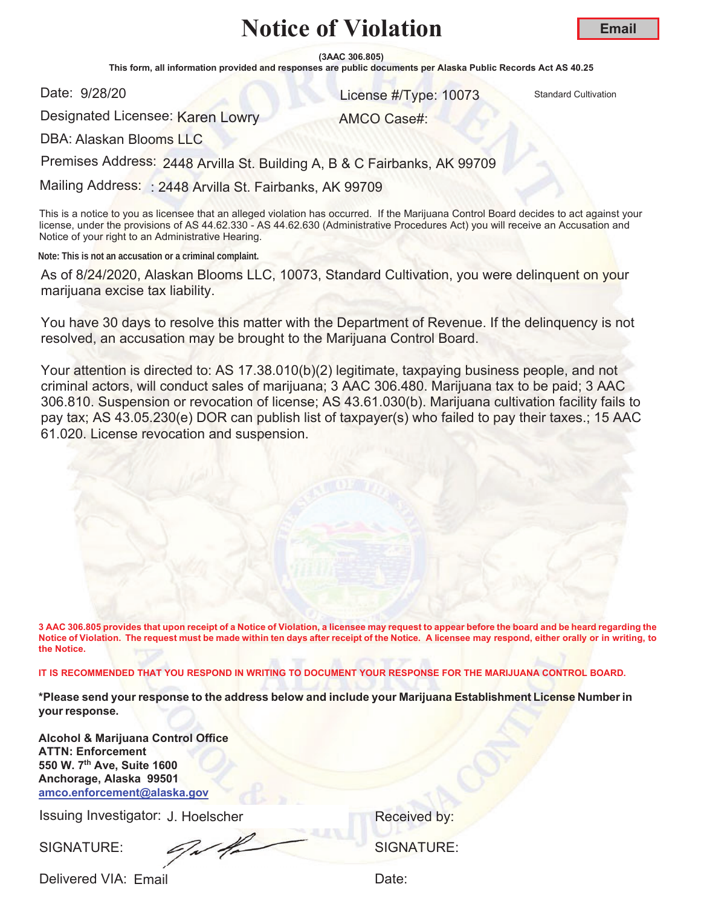**(3AAC 306.805)**

This form, all information provided and responses are public documents per Alaska Public Records Act AS 40.25

Date: 9/28/20

er and the United Standard Cultivation Control of the United Standard Cultivation Cultivation

Designated Licensee: <mark>Karen Lowr</mark>y

AMCO Case#:

DBA: Alaskan Blooms LLC

Premises Address: 2448 Arvilla St. Building A, B & C Fairbanks, AK 99709

Mailing Address: : 2448 Arvilla St. Fairbanks, AK 99709

This is a notice to you as licensee that an alleged violation has occurred. If the Marijuana Control Board decides to act against your license, under the provisions of AS 44.62.330 - AS 44.62.630 (Administrative Procedures Act) you will receive an Accusation and Notice of your right to an Administrative Hearing.

**Note: This is not an accusation or a criminal complaint.**

As of 8/24/2020, Alaskan Blooms LLC, 10073, Standard Cultivation, you were delinquent on your marijuana excise tax liability.

You have 30 days to resolve this matter with the Department of Revenue. If the delinquency is not resolved, an accusation may be brought to the Marijuana Control Board.

Your attention is directed to: AS 17.38.010(b)(2) legitimate, taxpaying business people, and not criminal actors, will conduct sales of marijuana; 3 AAC 306.480. Marijuana tax to be paid; 3 AAC 306.810. Suspension or revocation of license; AS 43.61.030(b). Marijuana cultivation facility fails to pay tax; AS 43.05.230(e) DOR can publish list of taxpayer(s) who failed to pay their taxes.; 15 AAC 61.020. License revocation and suspension.

**3 AAC 306.805 provides that upon receipt of a Notice of Violation, a licensee may request to appear before the board and be heard regarding the Notice of Violation. The request must be made within ten days after receipt of the Notice. A licensee may respond, either orally or in writing, to the Notice.** 

**IT IS RECOMMENDED THAT YOU RESPOND IN WRITING TO DOCUMENT YOUR RESPONSE FOR THE MARIJUANA CONTROL BOARD.**

**\*Please send your response to the address below and include your Marijuana Establishment License Number in yourresponse.**

**Alcohol & Marijuana Control Office ATTN: Enforcement 550 W. 7th Ave, Suite 1600 Anchorage, Alaska 99501 amco.enforcement@alaska.gov**

Issuing Investigator: J. Hoelscher **Election Control Control Control Control Control Control Control Control Control Control Control Control Control Control Control Control Control Control Control Control Control Control C** 

SIGNATURE: SIGNATURE: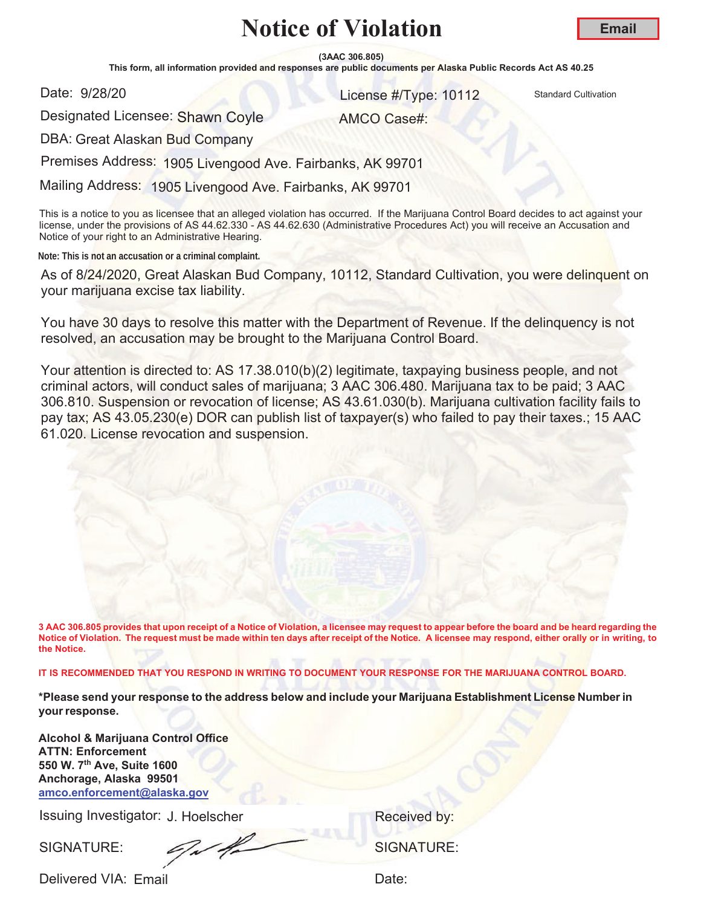**(3AAC 306.805)**

This form, all information provided and responses are public documents per Alaska Public Records Act AS 40.25

Date: 9/28/20

and 28/20 10112 Standard Cultivation Cultivation

Designated Licensee: Shawn Coyle

AMCO Case#:

DBA: Great Alaskan Bud Company

Premises Address: 1905 Livengood Ave. Fairbanks, AK 99701

Mailing Address: 1905 Livengood Ave. Fairbanks, AK 99701

This is a notice to you as licensee that an alleged violation has occurred. If the Marijuana Control Board decides to act against your license, under the provisions of AS 44.62.330 - AS 44.62.630 (Administrative Procedures Act) you will receive an Accusation and Notice of your right to an Administrative Hearing.

**Note: This is not an accusation or a criminal complaint.**

As of 8/24/2020, Great Alaskan Bud Company, 10112, Standard Cultivation, you were delinquent on your marijuana excise tax liability.

You have 30 days to resolve this matter with the Department of Revenue. If the delinquency is not resolved, an accusation may be brought to the Marijuana Control Board.

Your attention is directed to: AS 17.38.010(b)(2) legitimate, taxpaying business people, and not criminal actors, will conduct sales of marijuana; 3 AAC 306.480. Marijuana tax to be paid; 3 AAC 306.810. Suspension or revocation of license; AS 43.61.030(b). Marijuana cultivation facility fails to pay tax; AS 43.05.230(e) DOR can publish list of taxpayer(s) who failed to pay their taxes.; 15 AAC 61.020. License revocation and suspension.

**3 AAC 306.805 provides that upon receipt of a Notice of Violation, a licensee may request to appear before the board and be heard regarding the Notice of Violation. The request must be made within ten days after receipt of the Notice. A licensee may respond, either orally or in writing, to the Notice.** 

**IT IS RECOMMENDED THAT YOU RESPOND IN WRITING TO DOCUMENT YOUR RESPONSE FOR THE MARIJUANA CONTROL BOARD.**

**\*Please send your response to the address below and include your Marijuana Establishment License Number in your response.**

**Alcohol & Marijuana Control Office ATTN: Enforcement 550 W. 7th Ave, Suite 1600 Anchorage, Alaska 99501 amco.enforcement@alaska.gov**

Issuing Investigator: J. Hoelscher **Election Control Control Control Control Control Control Control Control Control Control Control Control Control Control Control Control Control Control Control Control Control Control C** 

SIGNATURE: SIGNATURE: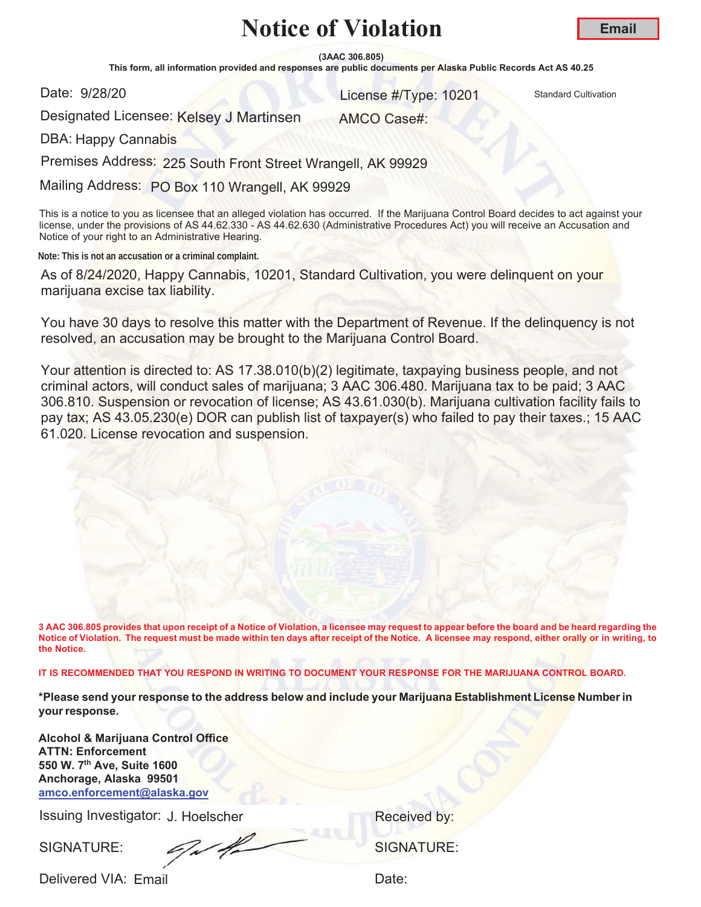**(3AAC 306.805)**

This form, all information provided and responses are public documents per Alaska Public Records Act AS 40.25

Date: 9/28/20

er and the United Standard Cultivation Control of the United Standard Cultivation Cultivation

Designated Licensee: Kelsey J Martinsen AMCO Case#:

DBA: Happy Cannabis

Premises Address: 225 South Front Street Wrangell, AK 99929

Mailing Address: PO Box 110 Wrangell, AK 99929

This is a notice to you as licensee that an alleged violation has occurred. If the Marijuana Control Board decides to act against your license, under the provisions of AS 44.62.330 - AS 44.62.630 (Administrative Procedures Act) you will receive an Accusation and Notice of your right to an Administrative Hearing.

**Note: This is not an accusation or a criminal complaint.**

As of 8/24/2020, Happy Cannabis, 10201, Standard Cultivation, you were delinquent on your marijuana excise tax liability.

You have 30 days to resolve this matter with the Department of Revenue. If the delinquency is not resolved, an accusation may be brought to the Marijuana Control Board.

Your attention is directed to: AS 17.38.010(b)(2) legitimate, taxpaying business people, and not criminal actors, will conduct sales of marijuana; 3 AAC 306.480. Marijuana tax to be paid; 3 AAC 306.810. Suspension or revocation of license; AS 43.61.030(b). Marijuana cultivation facility fails to pay tax; AS 43.05.230(e) DOR can publish list of taxpayer(s) who failed to pay their taxes.; 15 AAC 61.020. License revocation and suspension.

**3 AAC 306.805 provides that upon receipt of a Notice of Violation, a licensee may request to appear before the board and be heard regarding the Notice of Violation. The request must be made within ten days after receipt of the Notice. A licensee may respond, either orally or in writing, to the Notice.** 

**IT IS RECOMMENDED THAT YOU RESPOND IN WRITING TO DOCUMENT YOUR RESPONSE FOR THE MARIJUANA CONTROL BOARD.**

**\*Please send your response to the address below and include your Marijuana Establishment License Number in yourresponse.**

**Alcohol & Marijuana Control Office ATTN: Enforcement 550 W. 7th Ave, Suite 1600 Anchorage, Alaska 99501 amco.enforcement@alaska.gov**

Issuing Investigator: J. Hoelscher **Election Control Control Control Control Control Control Control Control Control Control Control Control Control Control Control Control Control Control Control Control Control Control C** 

SIGNATURE: SIGNATURE: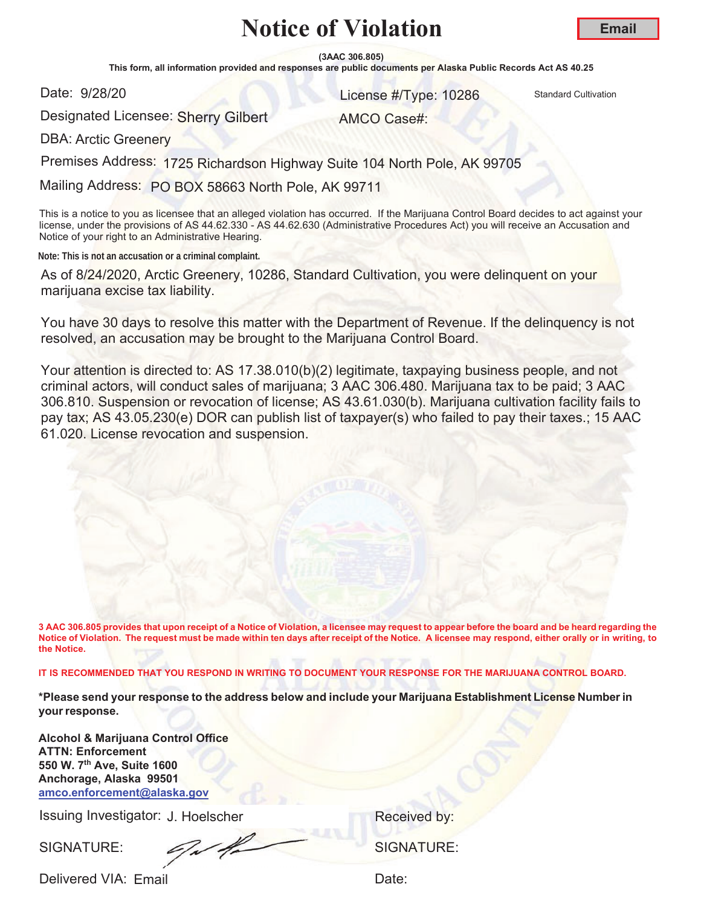**Email**

**(3AAC 306.805)**

This form, all information provided and responses are public documents per Alaska Public Records Act AS 40.25

Date: 9/28/20

er and the United Standard Cultivation Control of the United Standard Cultivation Cultivation

Designated Licensee: Sherry Gilbert

AMCO Case#:

DBA: Arctic Greenery

Premises Address: 1725 Richardson Highway Suite 104 North Pole, AK 99705

Mailing Address: PO BOX 58663 North Pole, AK 99711

This is a notice to you as licensee that an alleged violation has occurred. If the Marijuana Control Board decides to act against your license, under the provisions of AS 44.62.330 - AS 44.62.630 (Administrative Procedures Act) you will receive an Accusation and Notice of your right to an Administrative Hearing.

**Note: This is not an accusation or a criminal complaint.**

As of 8/24/2020, Arctic Greenery, 10286, Standard Cultivation, you were delinquent on your marijuana excise tax liability.

You have 30 days to resolve this matter with the Department of Revenue. If the delinquency is not resolved, an accusation may be brought to the Marijuana Control Board.

Your attention is directed to: AS 17.38.010(b)(2) legitimate, taxpaying business people, and not criminal actors, will conduct sales of marijuana; 3 AAC 306.480. Marijuana tax to be paid; 3 AAC 306.810. Suspension or revocation of license; AS 43.61.030(b). Marijuana cultivation facility fails to pay tax; AS 43.05.230(e) DOR can publish list of taxpayer(s) who failed to pay their taxes.; 15 AAC 61.020. License revocation and suspension.

**3 AAC 306.805 provides that upon receipt of a Notice of Violation, a licensee may request to appear before the board and be heard regarding the Notice of Violation. The request must be made within ten days after receipt of the Notice. A licensee may respond, either orally or in writing, to the Notice.** 

**IT IS RECOMMENDED THAT YOU RESPOND IN WRITING TO DOCUMENT YOUR RESPONSE FOR THE MARIJUANA CONTROL BOARD.**

**\*Please send your response to the address below and include your Marijuana Establishment License Number in your response.**

**Alcohol & Marijuana Control Office ATTN: Enforcement 550 W. 7th Ave, Suite 1600 Anchorage, Alaska 99501 amco.enforcement@alaska.gov**

Issuing Investigator: J. Hoelscher **Election Control Control Control Control Control Control Control Control Control Control Control Control Control Control Control Control Control Control Control Control Control Control C** 

SIGNATURE: SIGNATURE: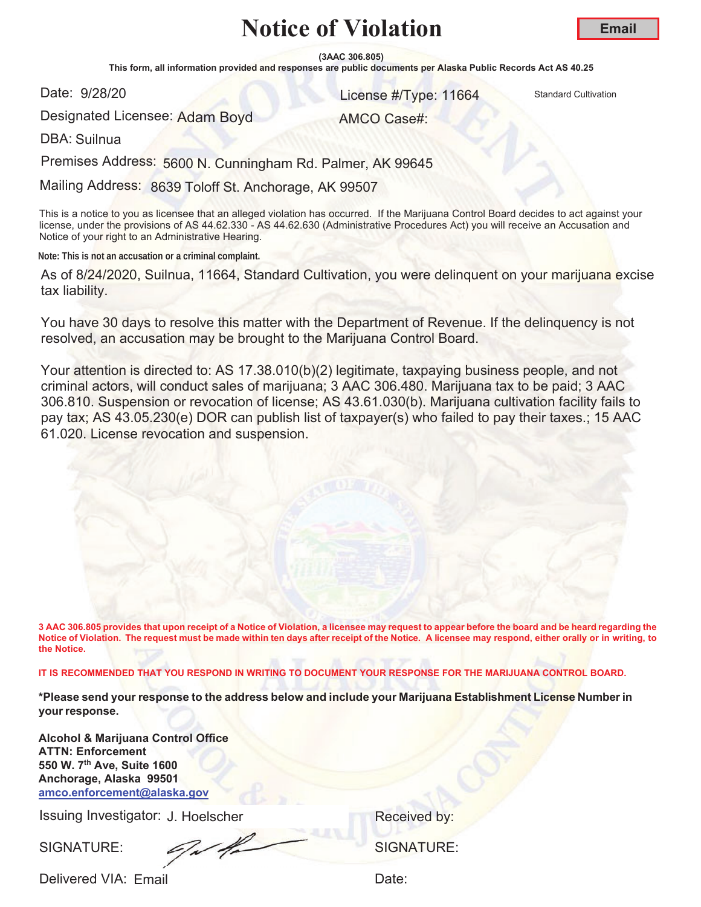**(3AAC 306.805)**

This form, all information provided and responses are public documents per Alaska Public Records Act AS 40.25

Date: 9/28/20

er and the United Standard Cultivation Control of the United Standard Cultivation Cultivation

AMCO Case#:

Designated Licensee: Adam Boyd

DBA: Suilnua

Premises Address: 5600 N. Cunningham Rd. Palmer, AK 99645

Mailing Address: 8639 Toloff St. Anchorage, AK 99507

This is a notice to you as licensee that an alleged violation has occurred. If the Marijuana Control Board decides to act against your license, under the provisions of AS 44.62.330 - AS 44.62.630 (Administrative Procedures Act) you will receive an Accusation and Notice of your right to an Administrative Hearing.

**Note: This is not an accusation or a criminal complaint.**

As of 8/24/2020, Suilnua, 11664, Standard Cultivation, you were delinquent on your marijuana excise tax liability.

You have 30 days to resolve this matter with the Department of Revenue. If the delinquency is not resolved, an accusation may be brought to the Marijuana Control Board.

Your attention is directed to: AS 17.38.010(b)(2) legitimate, taxpaying business people, and not criminal actors, will conduct sales of marijuana; 3 AAC 306.480. Marijuana tax to be paid; 3 AAC 306.810. Suspension or revocation of license; AS 43.61.030(b). Marijuana cultivation facility fails to pay tax; AS 43.05.230(e) DOR can publish list of taxpayer(s) who failed to pay their taxes.; 15 AAC 61.020. License revocation and suspension.

**3 AAC 306.805 provides that upon receipt of a Notice of Violation, a licensee may request to appear before the board and be heard regarding the Notice of Violation. The request must be made within ten days after receipt of the Notice. A licensee may respond, either orally or in writing, to the Notice.** 

**IT IS RECOMMENDED THAT YOU RESPOND IN WRITING TO DOCUMENT YOUR RESPONSE FOR THE MARIJUANA CONTROL BOARD.**

**\*Please send your response to the address below and include your Marijuana Establishment License Number in your response.**

**Alcohol & Marijuana Control Office ATTN: Enforcement 550 W. 7th Ave, Suite 1600 Anchorage, Alaska 99501 amco.enforcement@alaska.gov**

Issuing Investigator: J. Hoelscher **Election Control Control Control Control Control Control Control Control Control Control Control Control Control Control Control Control Control Control Control Control Control Control C** 

SIGNATURE: SIGNATURE: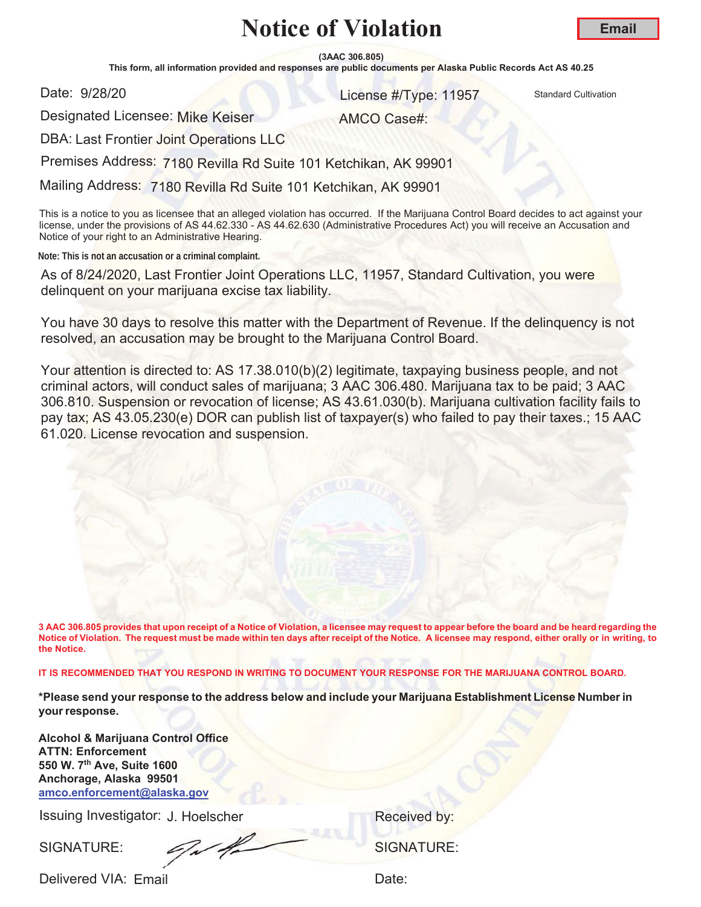**(3AAC 306.805)**

This form, all information provided and responses are public documents per Alaska Public Records Act AS 40.25

Date: 9/28/20

er and the United Standard Cultivation Control of the United Standard Cultivation Cultivation

Designated Licensee: Mike Keiser

AMCO Case#:

DBA: Last Frontier Joint Operations LLC

Premises Address: 7180 Revilla Rd Suite 101 Ketchikan, AK 99901

Mailing Address: 7180 Revilla Rd Suite 101 Ketchikan, AK 99901

This is a notice to you as licensee that an alleged violation has occurred. If the Marijuana Control Board decides to act against your license, under the provisions of AS 44.62.330 - AS 44.62.630 (Administrative Procedures Act) you will receive an Accusation and Notice of your right to an Administrative Hearing.

**Note: This is not an accusation or a criminal complaint.**

As of 8/24/2020, Last Frontier Joint Operations LLC, 11957, Standard Cultivation, you were delinquent on your marijuana excise tax liability.

You have 30 days to resolve this matter with the Department of Revenue. If the delinquency is not resolved, an accusation may be brought to the Marijuana Control Board.

Your attention is directed to: AS 17.38.010(b)(2) legitimate, taxpaying business people, and not criminal actors, will conduct sales of marijuana; 3 AAC 306.480. Marijuana tax to be paid; 3 AAC 306.810. Suspension or revocation of license; AS 43.61.030(b). Marijuana cultivation facility fails to pay tax; AS 43.05.230(e) DOR can publish list of taxpayer(s) who failed to pay their taxes.; 15 AAC 61.020. License revocation and suspension.

**3 AAC 306.805 provides that upon receipt of a Notice of Violation, a licensee may request to appear before the board and be heard regarding the Notice of Violation. The request must be made within ten days after receipt of the Notice. A licensee may respond, either orally or in writing, to the Notice.** 

**IT IS RECOMMENDED THAT YOU RESPOND IN WRITING TO DOCUMENT YOUR RESPONSE FOR THE MARIJUANA CONTROL BOARD.**

**\*Please send your response to the address below and include your Marijuana Establishment License Number in your response.**

**Alcohol & Marijuana Control Office ATTN: Enforcement 550 W. 7th Ave, Suite 1600 Anchorage, Alaska 99501 amco.enforcement@alaska.gov**

Issuing Investigator: J. Hoelscher **Election Control Control Control Control Control Control Control Control Control Control Control Control Control Control Control Control Control Control Control Control Control Control C** 

SIGNATURE: SIGNATURE: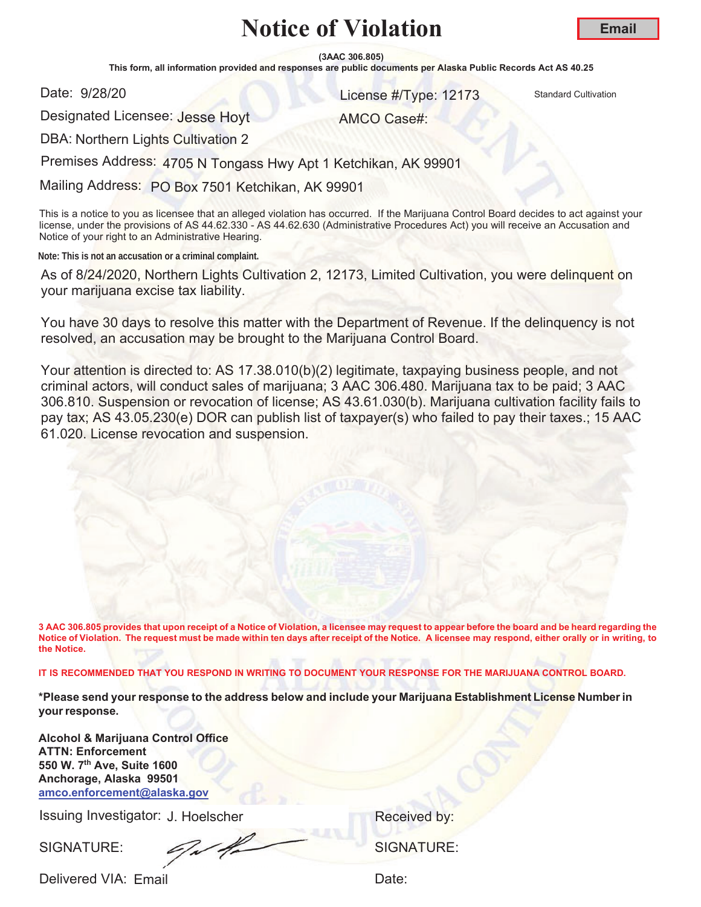**(3AAC 306.805)**

This form, all information provided and responses are public documents per Alaska Public Records Act AS 40.25

Date: 9/28/20

and 28/20 **128/20** 12173 Standard Cultivation

AMCO Case#:

Designated Licensee: Jesse Hoyt

DBA: Northern Lights Cultivation 2

Premises Address: 4705 N Tongass Hwy Apt 1 Ketchikan, AK 99901

Mailing Address: PO Box 7501 Ketchikan, AK 99901

This is a notice to you as licensee that an alleged violation has occurred. If the Marijuana Control Board decides to act against your license, under the provisions of AS 44.62.330 - AS 44.62.630 (Administrative Procedures Act) you will receive an Accusation and Notice of your right to an Administrative Hearing.

**Note: This is not an accusation or a criminal complaint.**

As of 8/24/2020, Northern Lights Cultivation 2, 12173, Limited Cultivation, you were delinquent on your marijuana excise tax liability.

You have 30 days to resolve this matter with the Department of Revenue. If the delinquency is not resolved, an accusation may be brought to the Marijuana Control Board.

Your attention is directed to: AS 17.38.010(b)(2) legitimate, taxpaying business people, and not criminal actors, will conduct sales of marijuana; 3 AAC 306.480. Marijuana tax to be paid; 3 AAC 306.810. Suspension or revocation of license; AS 43.61.030(b). Marijuana cultivation facility fails to pay tax; AS 43.05.230(e) DOR can publish list of taxpayer(s) who failed to pay their taxes.; 15 AAC 61.020. License revocation and suspension.

**3 AAC 306.805 provides that upon receipt of a Notice of Violation, a licensee may request to appear before the board and be heard regarding the Notice of Violation. The request must be made within ten days after receipt of the Notice. A licensee may respond, either orally or in writing, to the Notice.** 

**IT IS RECOMMENDED THAT YOU RESPOND IN WRITING TO DOCUMENT YOUR RESPONSE FOR THE MARIJUANA CONTROL BOARD.**

**\*Please send your response to the address below and include your Marijuana Establishment License Number in yourresponse.**

**Alcohol & Marijuana Control Office ATTN: Enforcement 550 W. 7th Ave, Suite 1600 Anchorage, Alaska 99501 amco.enforcement@alaska.gov**

Issuing Investigator: J. Hoelscher **Election Control Control Control Control Control Control Control Control Control Control Control Control Control Control Control Control Control Control Control Control Control Control C** 

SIGNATURE: SIGNATURE: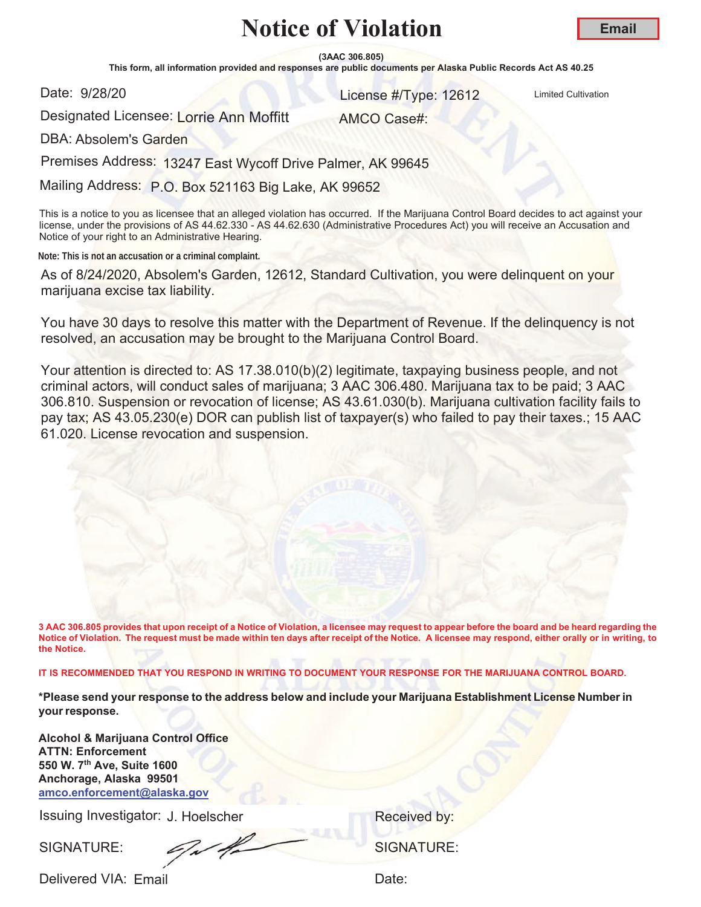**(3AAC 306.805)**

This form, all information provided and responses are public documents per Alaska Public Records Act AS 40.25

Date: 9/28/20

er and the United Cultivation Control of the United Cultivation Control of the United Cultivation

AMCO Case#:

Designated Licensee: <mark>Lorrie Ann Moffitt</mark>

DBA: Absolem's Garden

Premises Address: 13247 East Wycoff Drive Palmer, AK 99645

Mailing Address: P.O. Box 521163 Big Lake, AK 99652

This is a notice to you as licensee that an alleged violation has occurred. If the Marijuana Control Board decides to act against your license, under the provisions of AS 44.62.330 - AS 44.62.630 (Administrative Procedures Act) you will receive an Accusation and Notice of your right to an Administrative Hearing.

**Note: This is not an accusation or a criminal complaint.**

As of 8/24/2020, Absolem's Garden, 12612, Standard Cultivation, you were delinquent on your marijuana excise tax liability.

You have 30 days to resolve this matter with the Department of Revenue. If the delinquency is not resolved, an accusation may be brought to the Marijuana Control Board.

Your attention is directed to: AS 17.38.010(b)(2) legitimate, taxpaying business people, and not criminal actors, will conduct sales of marijuana; 3 AAC 306.480. Marijuana tax to be paid; 3 AAC 306.810. Suspension or revocation of license; AS 43.61.030(b). Marijuana cultivation facility fails to pay tax; AS 43.05.230(e) DOR can publish list of taxpayer(s) who failed to pay their taxes.; 15 AAC 61.020. License revocation and suspension.

**3 AAC 306.805 provides that upon receipt of a Notice of Violation, a licensee may request to appear before the board and be heard regarding the Notice of Violation. The request must be made within ten days after receipt of the Notice. A licensee may respond, either orally or in writing, to the Notice.** 

**IT IS RECOMMENDED THAT YOU RESPOND IN WRITING TO DOCUMENT YOUR RESPONSE FOR THE MARIJUANA CONTROL BOARD.**

**\*Please send your response to the address below and include your Marijuana Establishment License Number in your response.**

**Alcohol & Marijuana Control Office ATTN: Enforcement 550 W. 7th Ave, Suite 1600 Anchorage, Alaska 99501 amco.enforcement@alaska.gov**

Issuing Investigator: J. Hoelscher **Election Control Control Control Control Control Control Control Control Control Control Control Control Control Control Control Control Control Control Control Control Control Control C** 

SIGNATURE: SIGNATURE: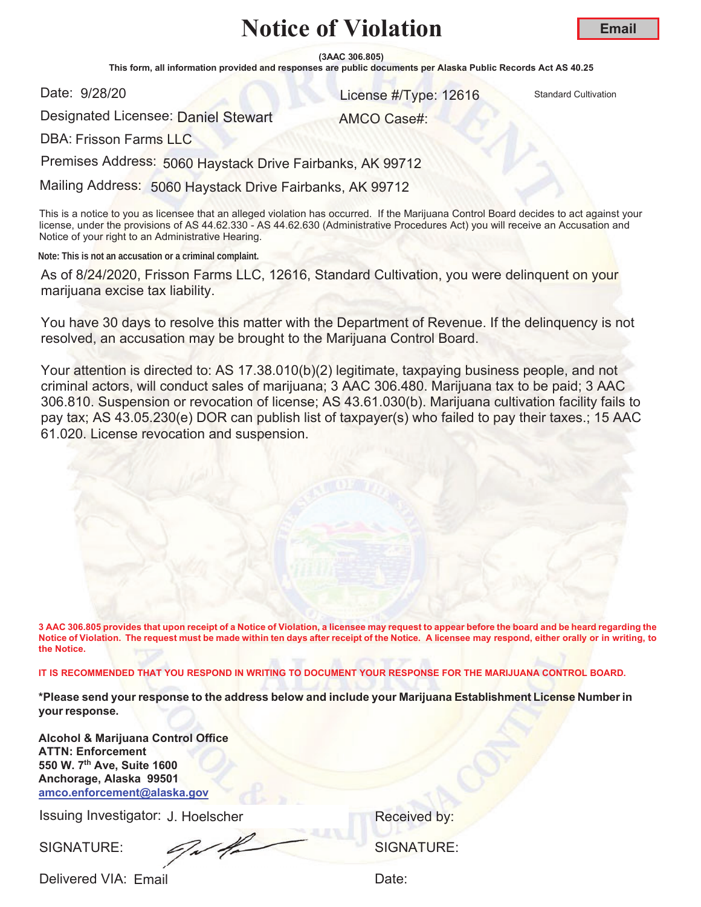**(3AAC 306.805)**

This form, all information provided and responses are public documents per Alaska Public Records Act AS 40.25

Date: 9/28/20

er and the United Standard Cultivation Control of the United Standard Cultivation Cultivation

Designated Licensee: <mark>Daniel Stewart</mark>

AMCO Case#:

DBA: Frisson Farms LLC

Premises Address: 5060 Haystack Drive Fairbanks, AK 99712

Mailing Address: 5060 Haystack Drive Fairbanks, AK 99712

This is a notice to you as licensee that an alleged violation has occurred. If the Marijuana Control Board decides to act against your license, under the provisions of AS 44.62.330 - AS 44.62.630 (Administrative Procedures Act) you will receive an Accusation and Notice of your right to an Administrative Hearing.

**Note: This is not an accusation or a criminal complaint.**

As of 8/24/2020, Frisson Farms LLC, 12616, Standard Cultivation, you were delinquent on your marijuana excise tax liability.

You have 30 days to resolve this matter with the Department of Revenue. If the delinquency is not resolved, an accusation may be brought to the Marijuana Control Board.

Your attention is directed to: AS 17.38.010(b)(2) legitimate, taxpaying business people, and not criminal actors, will conduct sales of marijuana; 3 AAC 306.480. Marijuana tax to be paid; 3 AAC 306.810. Suspension or revocation of license; AS 43.61.030(b). Marijuana cultivation facility fails to pay tax; AS 43.05.230(e) DOR can publish list of taxpayer(s) who failed to pay their taxes.; 15 AAC 61.020. License revocation and suspension.

**3 AAC 306.805 provides that upon receipt of a Notice of Violation, a licensee may request to appear before the board and be heard regarding the Notice of Violation. The request must be made within ten days after receipt of the Notice. A licensee may respond, either orally or in writing, to the Notice.** 

**IT IS RECOMMENDED THAT YOU RESPOND IN WRITING TO DOCUMENT YOUR RESPONSE FOR THE MARIJUANA CONTROL BOARD.**

**\*Please send your response to the address below and include your Marijuana Establishment License Number in yourresponse.**

**Alcohol & Marijuana Control Office ATTN: Enforcement 550 W. 7th Ave, Suite 1600 Anchorage, Alaska 99501 amco.enforcement@alaska.gov**

Issuing Investigator: J. Hoelscher **Election Control Control Control Control Control Control Control Control Control Control Control Control Control Control Control Control Control Control Control Control Control Control C** 

SIGNATURE: SIGNATURE: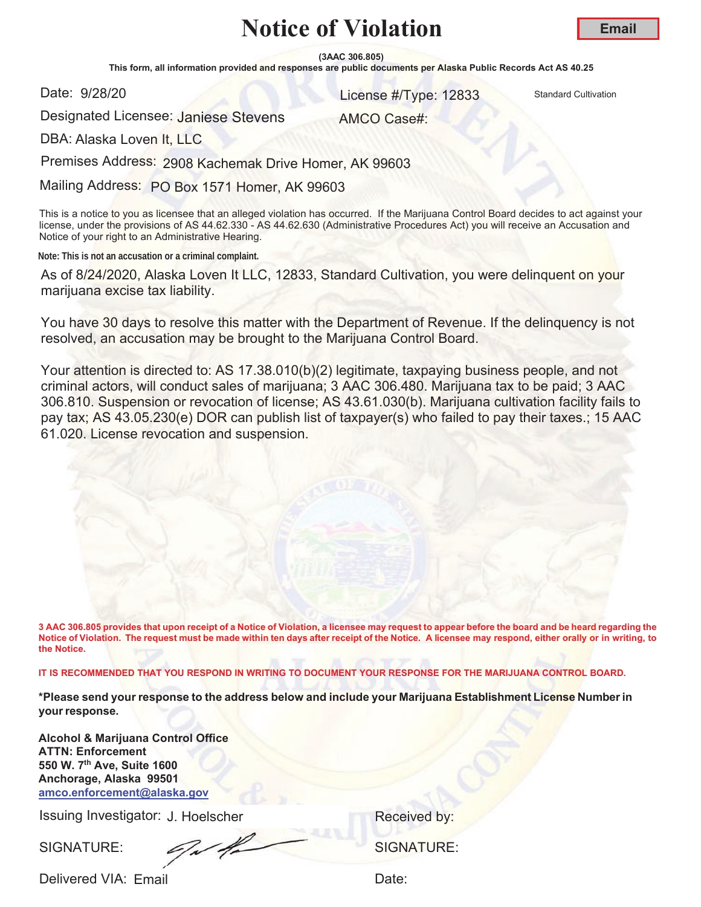**Email**

**(3AAC 306.805)**

This form, all information provided and responses are public documents per Alaska Public Records Act AS 40.25

Date: 9/28/20

and 28/20 **128/20 License #Type: 12833** Standard Cultivation

AMCO Case#:

Designated Licensee: Janiese Stevens

DBA: Alaska Loven It, LLC

Premises Address: 2908 Kachemak Drive Homer, AK 99603

Mailing Address: PO Box 1571 Homer, AK 99603

This is a notice to you as licensee that an alleged violation has occurred. If the Marijuana Control Board decides to act against your license, under the provisions of AS 44.62.330 - AS 44.62.630 (Administrative Procedures Act) you will receive an Accusation and Notice of your right to an Administrative Hearing.

**Note: This is not an accusation or a criminal complaint.**

As of 8/24/2020, Alaska Loven It LLC, 12833, Standard Cultivation, you were delinquent on your marijuana excise tax liability.

You have 30 days to resolve this matter with the Department of Revenue. If the delinquency is not resolved, an accusation may be brought to the Marijuana Control Board.

Your attention is directed to: AS 17.38.010(b)(2) legitimate, taxpaying business people, and not criminal actors, will conduct sales of marijuana; 3 AAC 306.480. Marijuana tax to be paid; 3 AAC 306.810. Suspension or revocation of license; AS 43.61.030(b). Marijuana cultivation facility fails to pay tax; AS 43.05.230(e) DOR can publish list of taxpayer(s) who failed to pay their taxes.; 15 AAC 61.020. License revocation and suspension.

**3 AAC 306.805 provides that upon receipt of a Notice of Violation, a licensee may request to appear before the board and be heard regarding the Notice of Violation. The request must be made within ten days after receipt of the Notice. A licensee may respond, either orally or in writing, to the Notice.** 

**IT IS RECOMMENDED THAT YOU RESPOND IN WRITING TO DOCUMENT YOUR RESPONSE FOR THE MARIJUANA CONTROL BOARD.**

**\*Please send your response to the address below and include your Marijuana Establishment License Number in yourresponse.**

**Alcohol & Marijuana Control Office ATTN: Enforcement 550 W. 7th Ave, Suite 1600 Anchorage, Alaska 99501 amco.enforcement@alaska.gov**

Issuing Investigator: J. Hoelscher **Election Control Control Control Control Control Control Control Control Control Control Control Control Control Control Control Control Control Control Control Control Control Control C** 

SIGNATURE: SIGNATURE: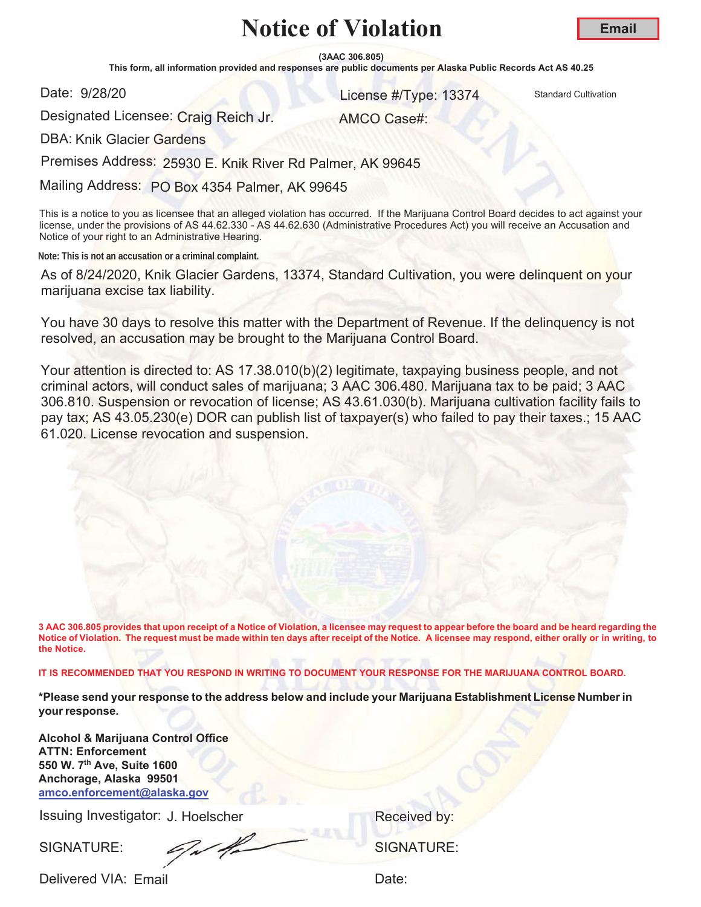**(3AAC 306.805)**

This form, all information provided and responses are public documents per Alaska Public Records Act AS 40.25

Date: 9/28/20

and 28/20 **13374** Standard Cultivation Cultivation

AMCO Case#:

**Email**

Designated Licensee: Craig Reich Jr.

DBA: Knik Glacier Gardens

Premises Address: 25930 E. Knik River Rd Palmer, AK 99645

Mailing Address: PO Box 4354 Palmer, AK 99645

This is a notice to you as licensee that an alleged violation has occurred. If the Marijuana Control Board decides to act against your license, under the provisions of AS 44.62.330 - AS 44.62.630 (Administrative Procedures Act) you will receive an Accusation and Notice of your right to an Administrative Hearing.

**Note: This is not an accusation or a criminal complaint.**

As of 8/24/2020, Knik Glacier Gardens, 13374, Standard Cultivation, you were delinquent on your marijuana excise tax liability.

You have 30 days to resolve this matter with the Department of Revenue. If the delinquency is not resolved, an accusation may be brought to the Marijuana Control Board.

Your attention is directed to: AS 17.38.010(b)(2) legitimate, taxpaying business people, and not criminal actors, will conduct sales of marijuana; 3 AAC 306.480. Marijuana tax to be paid; 3 AAC 306.810. Suspension or revocation of license; AS 43.61.030(b). Marijuana cultivation facility fails to pay tax; AS 43.05.230(e) DOR can publish list of taxpayer(s) who failed to pay their taxes.; 15 AAC 61.020. License revocation and suspension.

**3 AAC 306.805 provides that upon receipt of a Notice of Violation, a licensee may request to appear before the board and be heard regarding the Notice of Violation. The request must be made within ten days after receipt of the Notice. A licensee may respond, either orally or in writing, to the Notice.** 

**IT IS RECOMMENDED THAT YOU RESPOND IN WRITING TO DOCUMENT YOUR RESPONSE FOR THE MARIJUANA CONTROL BOARD.**

**\*Please send your response to the address below and include your Marijuana Establishment License Number in yourresponse.**

**Alcohol & Marijuana Control Office ATTN: Enforcement 550 W. 7th Ave, Suite 1600 Anchorage, Alaska 99501 amco.enforcement@alaska.gov**

Issuing Investigator: J. Hoelscher **Election Control Control Control Control Control Control Control Control Control Control Control Control Control Control Control Control Control Control Control Control Control Control C** 

SIGNATURE: SIGNATURE: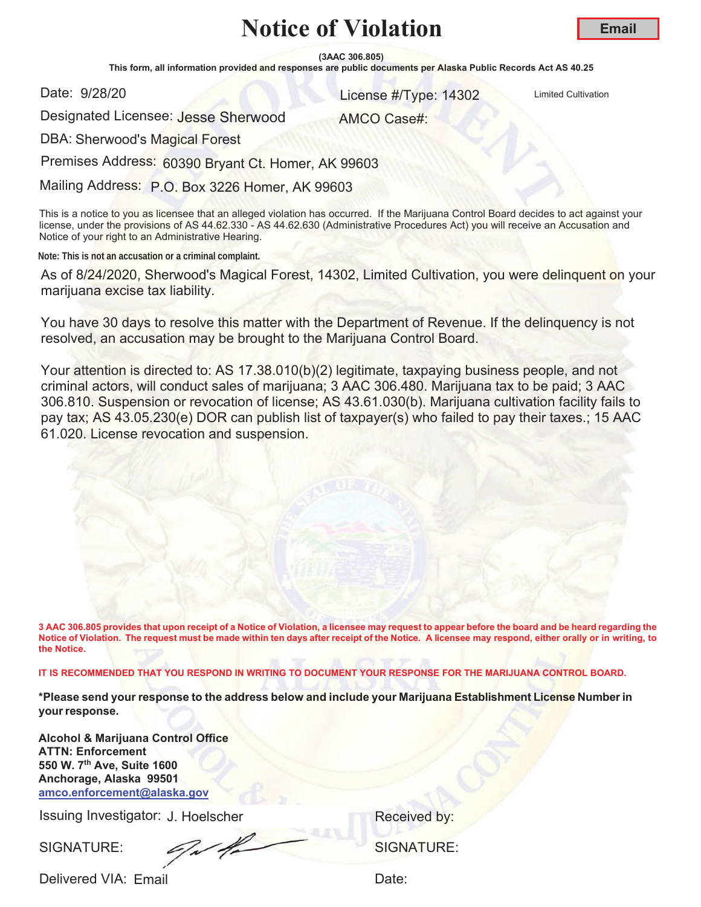**(3AAC 306.805)**

This form, all information provided and responses are public documents per Alaska Public Records Act AS 40.25

Date: 9/28/20

and 28/20 14302 License #/Type: 14302 Limited Cultivation

AMCO Case#:

Designated Licensee: Jesse Sherwood

DBA: Sherwood's Magical Forest

Premises Address: 60390 Bryant Ct. Homer, AK 99603

Mailing Address: P.O. Box 3226 Homer, AK 99603

This is a notice to you as licensee that an alleged violation has occurred. If the Marijuana Control Board decides to act against your license, under the provisions of AS 44.62.330 - AS 44.62.630 (Administrative Procedures Act) you will receive an Accusation and Notice of your right to an Administrative Hearing.

**Note: This is not an accusation or a criminal complaint.**

As of 8/24/2020, Sherwood's Magical Forest, 14302, Limited Cultivation, you were delinquent on your marijuana excise tax liability.

You have 30 days to resolve this matter with the Department of Revenue. If the delinquency is not resolved, an accusation may be brought to the Marijuana Control Board.

Your attention is directed to: AS 17.38.010(b)(2) legitimate, taxpaying business people, and not criminal actors, will conduct sales of marijuana; 3 AAC 306.480. Marijuana tax to be paid; 3 AAC 306.810. Suspension or revocation of license; AS 43.61.030(b). Marijuana cultivation facility fails to pay tax; AS 43.05.230(e) DOR can publish list of taxpayer(s) who failed to pay their taxes.; 15 AAC 61.020. License revocation and suspension.

**3 AAC 306.805 provides that upon receipt of a Notice of Violation, a licensee may request to appear before the board and be heard regarding the Notice of Violation. The request must be made within ten days after receipt of the Notice. A licensee may respond, either orally or in writing, to the Notice.** 

**IT IS RECOMMENDED THAT YOU RESPOND IN WRITING TO DOCUMENT YOUR RESPONSE FOR THE MARIJUANA CONTROL BOARD.**

**\*Please send your response to the address below and include your Marijuana Establishment License Number in your response.**

**Alcohol & Marijuana Control Office ATTN: Enforcement 550 W. 7th Ave, Suite 1600 Anchorage, Alaska 99501 amco.enforcement@alaska.gov**

Issuing Investigator: J. Hoelscher **Election Control Control Control Control Control Control Control Control Control Control Control Control Control Control Control Control Control Control Control Control Control Control C** 

SIGNATURE: SIGNATURE: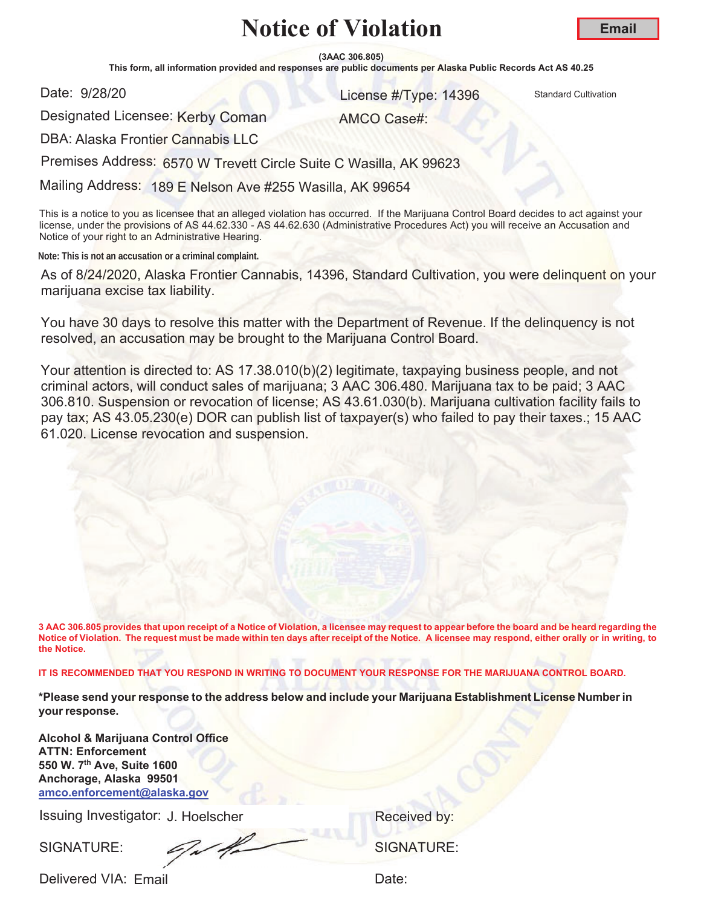**(3AAC 306.805)**

This form, all information provided and responses are public documents per Alaska Public Records Act AS 40.25

Date: 9/28/20

er and the United Standard Cultivation Control of the United Standard Cultivation Cultivation

Designated Licensee: <mark>Kerby Coman</mark>

AMCO Case#:

DBA: Alaska Frontier Cannabis LLC

Premises Address: 6570 W Trevett Circle Suite C Wasilla, AK 99623

Mailing Address: 189 E Nelson Ave #255 Wasilla, AK 99654

This is a notice to you as licensee that an alleged violation has occurred. If the Marijuana Control Board decides to act against your license, under the provisions of AS 44.62.330 - AS 44.62.630 (Administrative Procedures Act) you will receive an Accusation and Notice of your right to an Administrative Hearing.

**Note: This is not an accusation or a criminal complaint.**

As of 8/24/2020, Alaska Frontier Cannabis, 14396, Standard Cultivation, you were delinquent on your marijuana excise tax liability.

You have 30 days to resolve this matter with the Department of Revenue. If the delinquency is not resolved, an accusation may be brought to the Marijuana Control Board.

Your attention is directed to: AS 17.38.010(b)(2) legitimate, taxpaying business people, and not criminal actors, will conduct sales of marijuana; 3 AAC 306.480. Marijuana tax to be paid; 3 AAC 306.810. Suspension or revocation of license; AS 43.61.030(b). Marijuana cultivation facility fails to pay tax; AS 43.05.230(e) DOR can publish list of taxpayer(s) who failed to pay their taxes.; 15 AAC 61.020. License revocation and suspension.

**3 AAC 306.805 provides that upon receipt of a Notice of Violation, a licensee may request to appear before the board and be heard regarding the Notice of Violation. The request must be made within ten days after receipt of the Notice. A licensee may respond, either orally or in writing, to the Notice.** 

**IT IS RECOMMENDED THAT YOU RESPOND IN WRITING TO DOCUMENT YOUR RESPONSE FOR THE MARIJUANA CONTROL BOARD.**

**\*Please send your response to the address below and include your Marijuana Establishment License Number in yourresponse.**

**Alcohol & Marijuana Control Office ATTN: Enforcement 550 W. 7th Ave, Suite 1600 Anchorage, Alaska 99501 amco.enforcement@alaska.gov**

Issuing Investigator: J. Hoelscher **Election Control Control Control Control Control Control Control Control Control Control Control Control Control Control Control Control Control Control Control Control Control Control C** 

SIGNATURE: SIGNATURE: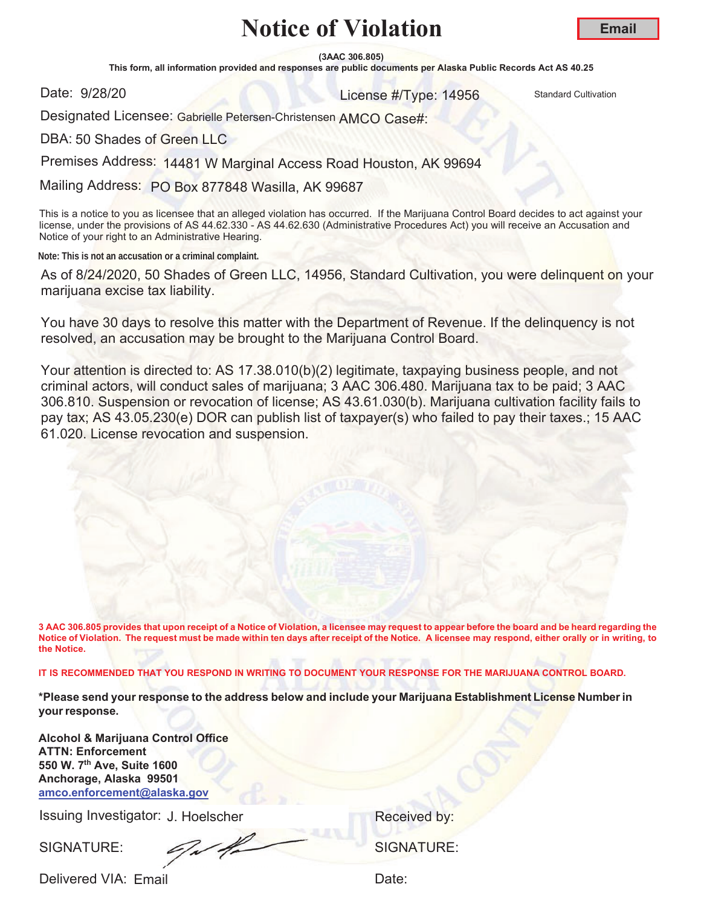**(3AAC 306.805)**

This form, all information provided and responses are public documents per Alaska Public Records Act AS 40.25

Date: 9/28/20

er and the United Standard Cultivation Control of the United Standard Cultivation Cultivation

Designated Licensee: Gabrielle Petersen-Christensen AMCO Case#:

DBA: 50 Shades of Green LLC

Premises Address: 14481 W Marginal Access Road Houston, AK 99694

Mailing Address: PO Box 877848 Wasilla, AK 99687

This is a notice to you as licensee that an alleged violation has occurred. If the Marijuana Control Board decides to act against your license, under the provisions of AS 44.62.330 - AS 44.62.630 (Administrative Procedures Act) you will receive an Accusation and Notice of your right to an Administrative Hearing.

**Note: This is not an accusation or a criminal complaint.**

As of 8/24/2020, 50 Shades of Green LLC, 14956, Standard Cultivation, you were delinquent on your marijuana excise tax liability.

You have 30 days to resolve this matter with the Department of Revenue. If the delinquency is not resolved, an accusation may be brought to the Marijuana Control Board.

Your attention is directed to: AS 17.38.010(b)(2) legitimate, taxpaying business people, and not criminal actors, will conduct sales of marijuana; 3 AAC 306.480. Marijuana tax to be paid; 3 AAC 306.810. Suspension or revocation of license; AS 43.61.030(b). Marijuana cultivation facility fails to pay tax; AS 43.05.230(e) DOR can publish list of taxpayer(s) who failed to pay their taxes.; 15 AAC 61.020. License revocation and suspension.

**3 AAC 306.805 provides that upon receipt of a Notice of Violation, a licensee may request to appear before the board and be heard regarding the Notice of Violation. The request must be made within ten days after receipt of the Notice. A licensee may respond, either orally or in writing, to the Notice.** 

**IT IS RECOMMENDED THAT YOU RESPOND IN WRITING TO DOCUMENT YOUR RESPONSE FOR THE MARIJUANA CONTROL BOARD.**

**\*Please send your response to the address below and include your Marijuana Establishment License Number in yourresponse.**

**Alcohol & Marijuana Control Office ATTN: Enforcement 550 W. 7th Ave, Suite 1600 Anchorage, Alaska 99501 amco.enforcement@alaska.gov**

Issuing Investigator: J. Hoelscher **Election Control Control Control Control Control Control Control Control Control Control Control Control Control Control Control Control Control Control Control Control Control Control C** 

SIGNATURE: SIGNATURE: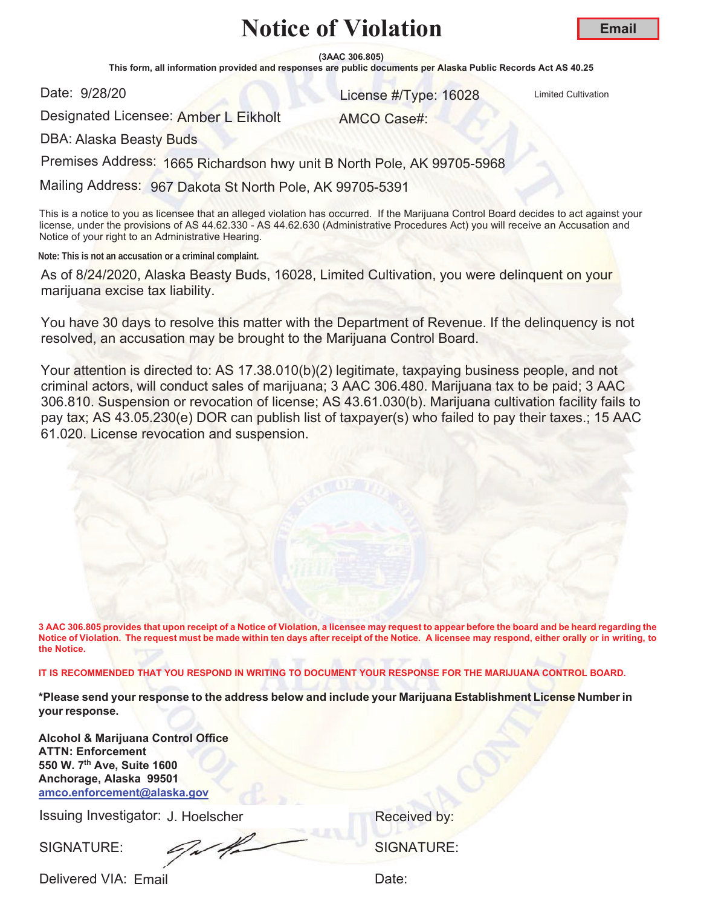**(3AAC 306.805)**

This form, all information provided and responses are public documents per Alaska Public Records Act AS 40.25

Date: 9/28/20

er and the United Cultivation Control of the United Cultivation Control of the United Cultivation

Designated Licensee: Amber L Eikholt

AMCO Case#:

DBA: Alaska Beasty Buds

Premises Address: 1665 Richardson hwy unit B North Pole, AK 99705-5968

Mailing Address: 967 Dakota St North Pole, AK 99705-5391

This is a notice to you as licensee that an alleged violation has occurred. If the Marijuana Control Board decides to act against your license, under the provisions of AS 44.62.330 - AS 44.62.630 (Administrative Procedures Act) you will receive an Accusation and Notice of your right to an Administrative Hearing.

**Note: This is not an accusation or a criminal complaint.**

As of 8/24/2020, Alaska Beasty Buds, 16028, Limited Cultivation, you were delinquent on your marijuana excise tax liability.

You have 30 days to resolve this matter with the Department of Revenue. If the delinquency is not resolved, an accusation may be brought to the Marijuana Control Board.

Your attention is directed to: AS 17.38.010(b)(2) legitimate, taxpaying business people, and not criminal actors, will conduct sales of marijuana; 3 AAC 306.480. Marijuana tax to be paid; 3 AAC 306.810. Suspension or revocation of license; AS 43.61.030(b). Marijuana cultivation facility fails to pay tax; AS 43.05.230(e) DOR can publish list of taxpayer(s) who failed to pay their taxes.; 15 AAC 61.020. License revocation and suspension.

**3 AAC 306.805 provides that upon receipt of a Notice of Violation, a licensee may request to appear before the board and be heard regarding the Notice of Violation. The request must be made within ten days after receipt of the Notice. A licensee may respond, either orally or in writing, to the Notice.** 

**IT IS RECOMMENDED THAT YOU RESPOND IN WRITING TO DOCUMENT YOUR RESPONSE FOR THE MARIJUANA CONTROL BOARD.**

**\*Please send your response to the address below and include your Marijuana Establishment License Number in yourresponse.**

**Alcohol & Marijuana Control Office ATTN: Enforcement 550 W. 7th Ave, Suite 1600 Anchorage, Alaska 99501 amco.enforcement@alaska.gov**

Issuing Investigator: J. Hoelscher **Election Control Control Control Control Control Control Control Control Control Control Control Control Control Control Control Control Control Control Control Control Control Control C** 

SIGNATURE: SIGNATURE: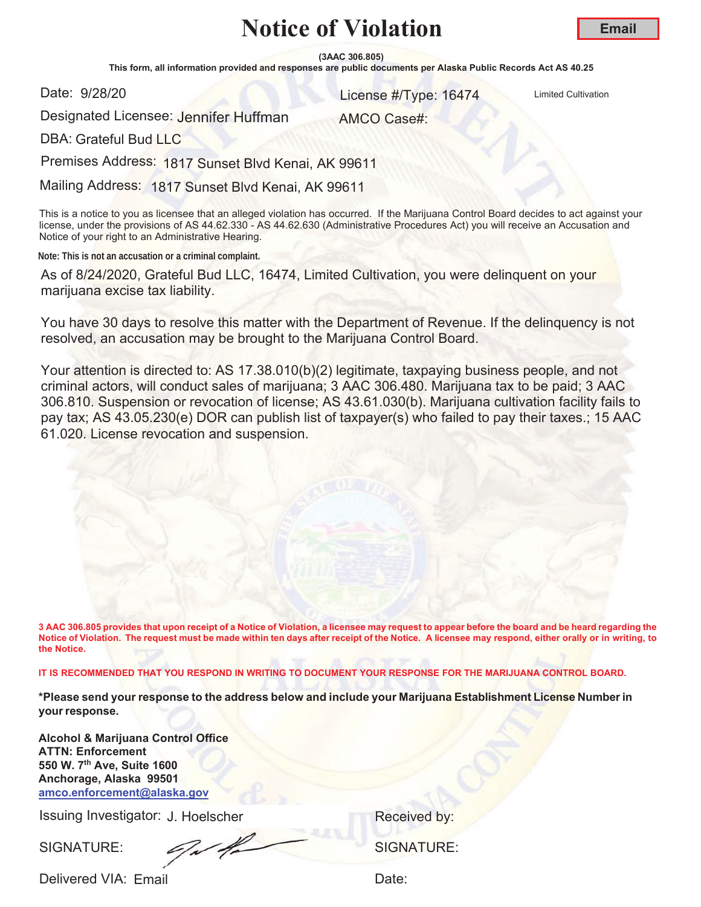**(3AAC 306.805)**

This form, all information provided and responses are public documents per Alaska Public Records Act AS 40.25

Date: 9/28/20

and 28/20 **16474** License #/Type: 16474 Limited Cultivation

Designated Licensee: <mark>Jennifer Huffman</mark>

AMCO Case#:

DBA: Grateful Bud LLC

Premises Address: 1817 Sunset Blvd Kenai, AK 99611

Mailing Address: 1817 Sunset Blvd Kenai, AK 99611

This is a notice to you as licensee that an alleged violation has occurred. If the Marijuana Control Board decides to act against your license, under the provisions of AS 44.62.330 - AS 44.62.630 (Administrative Procedures Act) you will receive an Accusation and Notice of your right to an Administrative Hearing.

**Note: This is not an accusation or a criminal complaint.**

As of 8/24/2020, Grateful Bud LLC, 16474, Limited Cultivation, you were delinquent on your marijuana excise tax liability.

You have 30 days to resolve this matter with the Department of Revenue. If the delinquency is not resolved, an accusation may be brought to the Marijuana Control Board.

Your attention is directed to: AS 17.38.010(b)(2) legitimate, taxpaying business people, and not criminal actors, will conduct sales of marijuana; 3 AAC 306.480. Marijuana tax to be paid; 3 AAC 306.810. Suspension or revocation of license; AS 43.61.030(b). Marijuana cultivation facility fails to pay tax; AS 43.05.230(e) DOR can publish list of taxpayer(s) who failed to pay their taxes.; 15 AAC 61.020. License revocation and suspension.

**3 AAC 306.805 provides that upon receipt of a Notice of Violation, a licensee may request to appear before the board and be heard regarding the Notice of Violation. The request must be made within ten days after receipt of the Notice. A licensee may respond, either orally or in writing, to the Notice.** 

**IT IS RECOMMENDED THAT YOU RESPOND IN WRITING TO DOCUMENT YOUR RESPONSE FOR THE MARIJUANA CONTROL BOARD.**

**\*Please send your response to the address below and include your Marijuana Establishment License Number in your response.**

**Alcohol & Marijuana Control Office ATTN: Enforcement 550 W. 7th Ave, Suite 1600 Anchorage, Alaska 99501 amco.enforcement@alaska.gov**

Issuing Investigator: J. Hoelscher **Election Control Control Control Control Control Control Control Control Control Control Control Control Control Control Control Control Control Control Control Control Control Control C** 

SIGNATURE: SIGNATURE: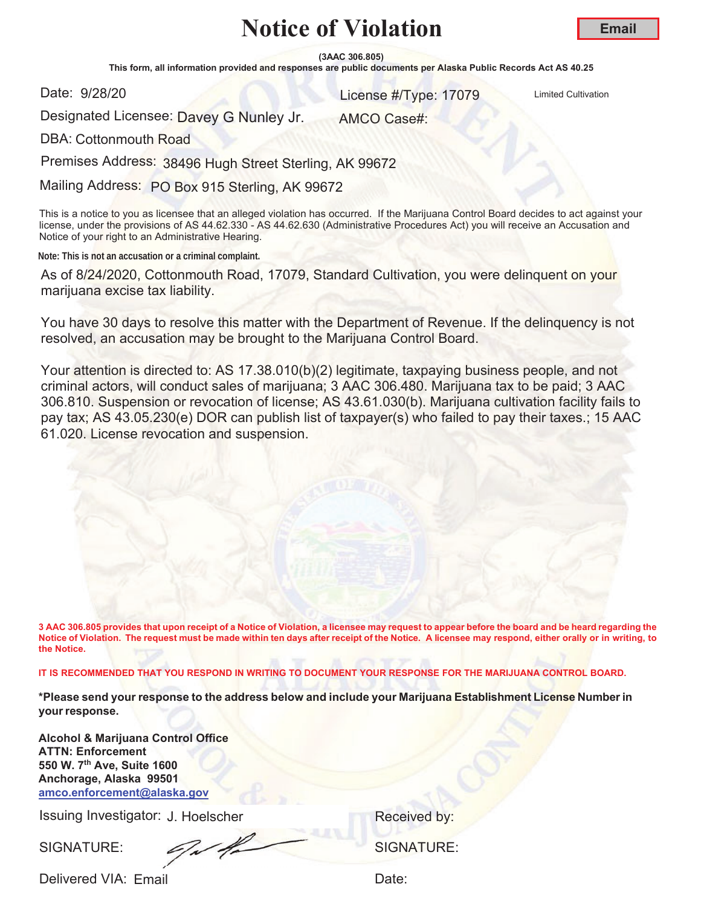**(3AAC 306.805)**

This form, all information provided and responses are public documents per Alaska Public Records Act AS 40.25

Date: 9/28/20

er and the United Cultivation Control of the United Cultivation Control of the United Cultivation

Designated Licensee: Davey G Nunley Jr. AMCO Case#:

DBA: Cottonmouth Road

Premises Address: 38496 Hugh Street Sterling, AK 99672

Mailing Address: PO Box 915 Sterling, AK 99672

This is a notice to you as licensee that an alleged violation has occurred. If the Marijuana Control Board decides to act against your license, under the provisions of AS 44.62.330 - AS 44.62.630 (Administrative Procedures Act) you will receive an Accusation and Notice of your right to an Administrative Hearing.

**Note: This is not an accusation or a criminal complaint.**

As of 8/24/2020, Cottonmouth Road, 17079, Standard Cultivation, you were delinquent on your marijuana excise tax liability.

You have 30 days to resolve this matter with the Department of Revenue. If the delinquency is not resolved, an accusation may be brought to the Marijuana Control Board.

Your attention is directed to: AS 17.38.010(b)(2) legitimate, taxpaying business people, and not criminal actors, will conduct sales of marijuana; 3 AAC 306.480. Marijuana tax to be paid; 3 AAC 306.810. Suspension or revocation of license; AS 43.61.030(b). Marijuana cultivation facility fails to pay tax; AS 43.05.230(e) DOR can publish list of taxpayer(s) who failed to pay their taxes.; 15 AAC 61.020. License revocation and suspension.

**3 AAC 306.805 provides that upon receipt of a Notice of Violation, a licensee may request to appear before the board and be heard regarding the Notice of Violation. The request must be made within ten days after receipt of the Notice. A licensee may respond, either orally or in writing, to the Notice.** 

**IT IS RECOMMENDED THAT YOU RESPOND IN WRITING TO DOCUMENT YOUR RESPONSE FOR THE MARIJUANA CONTROL BOARD.**

**\*Please send your response to the address below and include your Marijuana Establishment License Number in your response.**

**Alcohol & Marijuana Control Office ATTN: Enforcement 550 W. 7th Ave, Suite 1600 Anchorage, Alaska 99501 amco.enforcement@alaska.gov**

Issuing Investigator: J. Hoelscher **Election Control Control Control Control Control Control Control Control Control Control Control Control Control Control Control Control Control Control Control Control Control Control C** 

SIGNATURE: SIGNATURE: